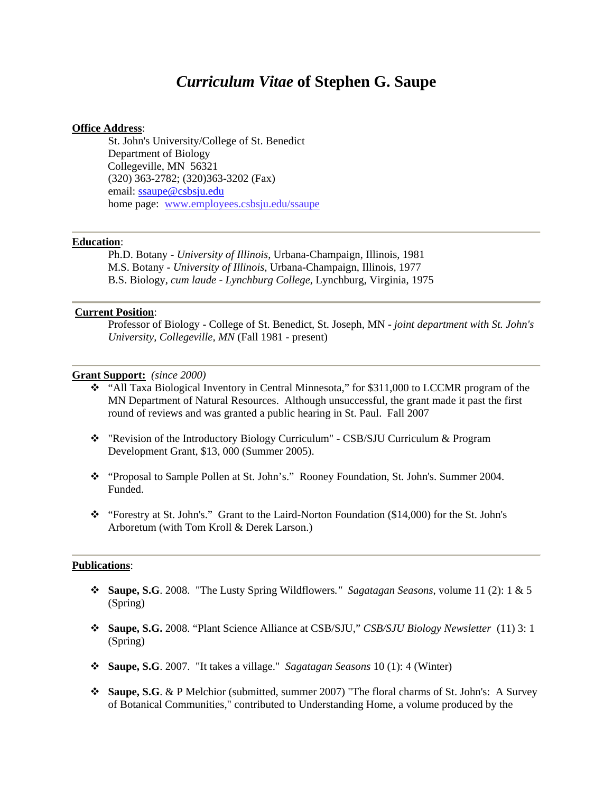# *Curriculum Vitae* **of Stephen G. Saupe**

## **Office Address**:

 St. John's University/College of St. Benedict Department of Biology Collegeville, MN 56321 (320) 363-2782; (320)363-3202 (Fax) email: ssaupe@csbsju.edu home page: www.employees.csbsju.edu/ssaupe

# **Education**:

Ph.D. Botany - *University of Illinois*, Urbana-Champaign, Illinois, 1981 M.S. Botany - *University of Illinois*, Urbana-Champaign, Illinois, 1977 B.S. Biology, *cum laude* - *Lynchburg College*, Lynchburg, Virginia, 1975

# **Current Position**:

Professor of Biology - College of St. Benedict, St. Joseph, MN - *joint department with St. John's University, Collegeville, MN* (Fall 1981 - present)

#### **Grant Support:** *(since 2000)*

- "All Taxa Biological Inventory in Central Minnesota," for \$311,000 to LCCMR program of the MN Department of Natural Resources. Although unsuccessful, the grant made it past the first round of reviews and was granted a public hearing in St. Paul. Fall 2007
- "Revision of the Introductory Biology Curriculum" CSB/SJU Curriculum & Program Development Grant, \$13, 000 (Summer 2005).
- "Proposal to Sample Pollen at St. John's." Rooney Foundation, St. John's. Summer 2004. Funded.
- \* "Forestry at St. John's." Grant to the Laird-Norton Foundation (\$14,000) for the St. John's Arboretum (with Tom Kroll & Derek Larson.)

#### **Publications**:

- **Saupe, S.G**. 2008. "The Lusty Spring Wildflowers*." Sagatagan Seasons*, volume 11 (2): 1 & 5 (Spring)
- **Saupe, S.G.** 2008. "Plant Science Alliance at CSB/SJU," *CSB/SJU Biology Newsletter* (11) 3: 1 (Spring)
- **Saupe, S.G**. 2007. "It takes a village." *Sagatagan Seasons* 10 (1): 4 (Winter)
- **Saupe, S.G**. & P Melchior (submitted, summer 2007) "The floral charms of St. John's: A Survey of Botanical Communities," contributed to Understanding Home, a volume produced by the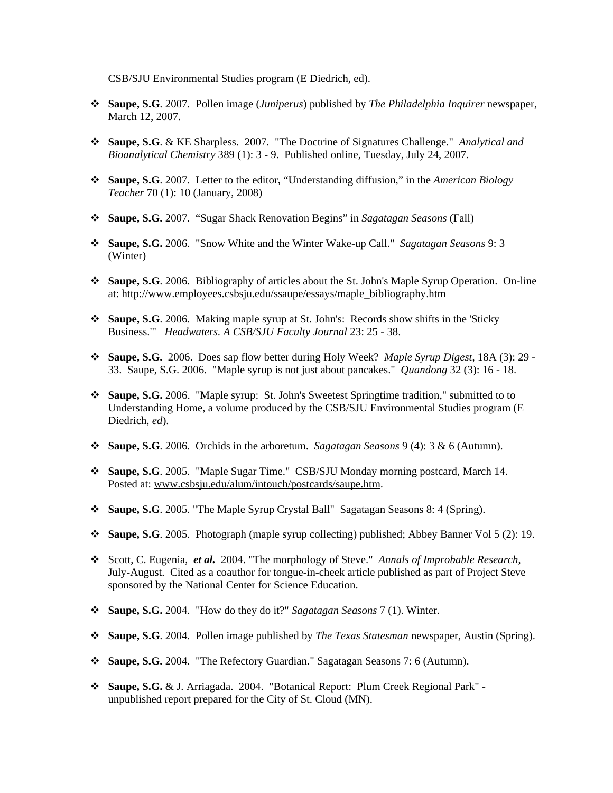CSB/SJU Environmental Studies program (E Diedrich, ed).

- **Saupe, S.G**. 2007. Pollen image (*Juniperus*) published by *The Philadelphia Inquirer* newspaper, March 12, 2007.
- **Saupe, S.G**. & KE Sharpless. 2007. "The Doctrine of Signatures Challenge." *Analytical and Bioanalytical Chemistry* 389 (1): 3 - 9. Published online, Tuesday, July 24, 2007.
- **Saupe, S.G**. 2007. Letter to the editor, "Understanding diffusion," in the *American Biology Teacher* 70 (1): 10 (January, 2008)
- **Saupe, S.G.** 2007. "Sugar Shack Renovation Begins" in *Sagatagan Seasons* (Fall)
- **Saupe, S.G.** 2006. "Snow White and the Winter Wake-up Call." *Sagatagan Seasons* 9: 3 (Winter)
- **Saupe, S.G**. 2006. Bibliography of articles about the St. John's Maple Syrup Operation. On-line at: http://www.employees.csbsju.edu/ssaupe/essays/maple\_bibliography.htm
- **Saupe, S.G**. 2006. Making maple syrup at St. John's: Records show shifts in the 'Sticky Business.'" *Headwaters. A CSB/SJU Faculty Journal* 23: 25 - 38.
- **Saupe, S.G.** 2006. Does sap flow better during Holy Week? *Maple Syrup Digest*, 18A (3): 29 33. Saupe, S.G. 2006. "Maple syrup is not just about pancakes." *Quandong* 32 (3): 16 - 18.
- **Saupe, S.G.** 2006. "Maple syrup: St. John's Sweetest Springtime tradition," submitted to to Understanding Home, a volume produced by the CSB/SJU Environmental Studies program (E Diedrich, *ed*).
- **Saupe, S.G**. 2006. Orchids in the arboretum. *Sagatagan Seasons* 9 (4): 3 & 6 (Autumn).
- **Saupe, S.G**. 2005. "Maple Sugar Time." CSB/SJU Monday morning postcard, March 14. Posted at: www.csbsju.edu/alum/intouch/postcards/saupe.htm.
- **Saupe, S.G**. 2005. "The Maple Syrup Crystal Ball" Sagatagan Seasons 8: 4 (Spring).
- **Saupe, S.G**. 2005. Photograph (maple syrup collecting) published; Abbey Banner Vol 5 (2): 19.
- Scott, C. Eugenia, *et al.* 2004. "The morphology of Steve." *Annals of Improbable Research*, July-August. Cited as a coauthor for tongue-in-cheek article published as part of Project Steve sponsored by the National Center for Science Education.
- **Saupe, S.G.** 2004. "How do they do it?" *Sagatagan Seasons* 7 (1). Winter.
- **Saupe, S.G**. 2004. Pollen image published by *The Texas Statesman* newspaper, Austin (Spring).
- **Saupe, S.G.** 2004. "The Refectory Guardian." Sagatagan Seasons 7: 6 (Autumn).
- **Saupe, S.G.** & J. Arriagada. 2004. "Botanical Report: Plum Creek Regional Park" unpublished report prepared for the City of St. Cloud (MN).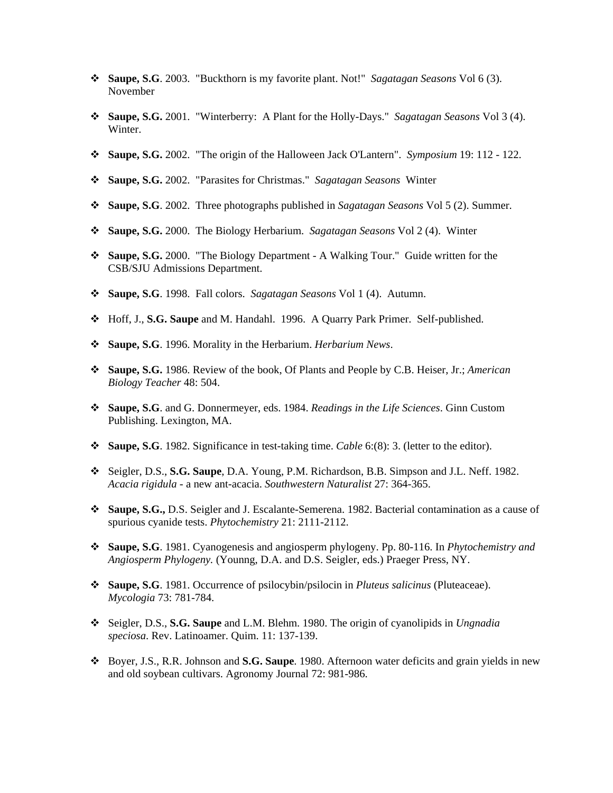- **Saupe, S.G**. 2003. "Buckthorn is my favorite plant. Not!" *Sagatagan Seasons* Vol 6 (3). November
- **Saupe, S.G.** 2001. "Winterberry: A Plant for the Holly-Days." *Sagatagan Seasons* Vol 3 (4). Winter.
- **Saupe, S.G.** 2002. "The origin of the Halloween Jack O'Lantern". *Symposium* 19: 112 122.
- **Saupe, S.G.** 2002. "Parasites for Christmas." *Sagatagan Seasons* Winter
- **Saupe, S.G**. 2002. Three photographs published in *Sagatagan Seasons* Vol 5 (2). Summer.
- **Saupe, S.G.** 2000. The Biology Herbarium. *Sagatagan Seasons* Vol 2 (4). Winter
- **Saupe, S.G.** 2000. "The Biology Department A Walking Tour." Guide written for the CSB/SJU Admissions Department.
- **Saupe, S.G**. 1998. Fall colors. *Sagatagan Seasons* Vol 1 (4). Autumn.
- Hoff, J., **S.G. Saupe** and M. Handahl. 1996. A Quarry Park Primer. Self-published.
- **Saupe, S.G**. 1996. Morality in the Herbarium. *Herbarium News*.
- **Saupe, S.G.** 1986. Review of the book, Of Plants and People by C.B. Heiser, Jr.; *American Biology Teacher* 48: 504.
- **Saupe, S.G**. and G. Donnermeyer, eds. 1984. *Readings in the Life Sciences*. Ginn Custom Publishing. Lexington, MA.
- **Saupe, S.G**. 1982. Significance in test-taking time. *Cable* 6:(8): 3. (letter to the editor).
- Seigler, D.S., **S.G. Saupe**, D.A. Young, P.M. Richardson, B.B. Simpson and J.L. Neff. 1982. *Acacia rigidula* - a new ant-acacia. *Southwestern Naturalist* 27: 364-365.
- **Saupe, S.G.,** D.S. Seigler and J. Escalante-Semerena. 1982. Bacterial contamination as a cause of spurious cyanide tests. *Phytochemistry* 21: 2111-2112.
- **Saupe, S.G**. 1981. Cyanogenesis and angiosperm phylogeny. Pp. 80-116. In *Phytochemistry and Angiosperm Phylogeny.* (Younng, D.A. and D.S. Seigler, eds.) Praeger Press, NY.
- **Saupe, S.G**. 1981. Occurrence of psilocybin/psilocin in *Pluteus salicinus* (Pluteaceae). *Mycologia* 73: 781-784.
- Seigler, D.S., **S.G. Saupe** and L.M. Blehm. 1980. The origin of cyanolipids in *Ungnadia speciosa*. Rev. Latinoamer. Quim. 11: 137-139.
- Boyer, J.S., R.R. Johnson and **S.G. Saupe**. 1980. Afternoon water deficits and grain yields in new and old soybean cultivars. Agronomy Journal 72: 981-986.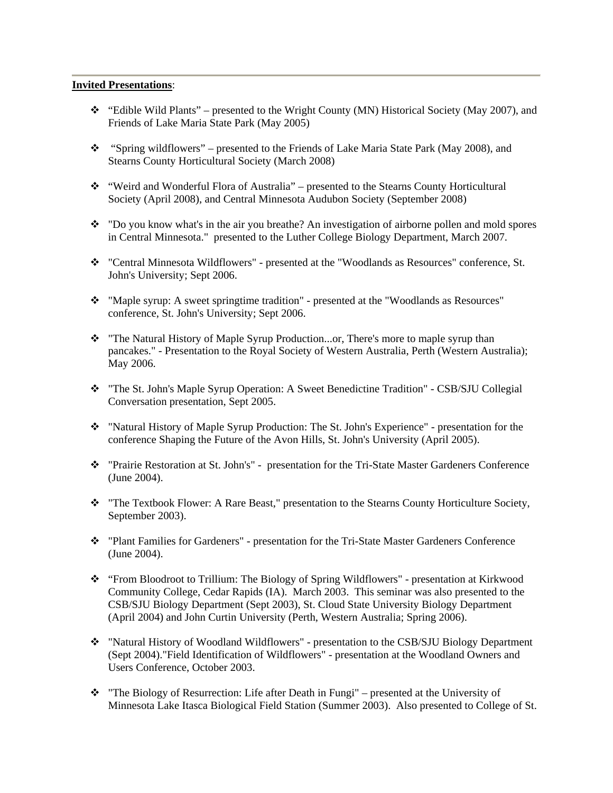# **Invited Presentations**:

- $\div$  "Edible Wild Plants" presented to the Wright County (MN) Historical Society (May 2007), and Friends of Lake Maria State Park (May 2005)
- "Spring wildflowers" presented to the Friends of Lake Maria State Park (May 2008), and Stearns County Horticultural Society (March 2008)
- "Weird and Wonderful Flora of Australia" presented to the Stearns County Horticultural Society (April 2008), and Central Minnesota Audubon Society (September 2008)
- \* "Do you know what's in the air you breathe? An investigation of airborne pollen and mold spores in Central Minnesota." presented to the Luther College Biology Department, March 2007.
- "Central Minnesota Wildflowers" presented at the "Woodlands as Resources" conference, St. John's University; Sept 2006.
- \* "Maple syrup: A sweet springtime tradition" presented at the "Woodlands as Resources" conference, St. John's University; Sept 2006.
- \* "The Natural History of Maple Syrup Production...or, There's more to maple syrup than pancakes." - Presentation to the Royal Society of Western Australia, Perth (Western Australia); May 2006.
- "The St. John's Maple Syrup Operation: A Sweet Benedictine Tradition" CSB/SJU Collegial Conversation presentation, Sept 2005.
- "Natural History of Maple Syrup Production: The St. John's Experience" presentation for the conference Shaping the Future of the Avon Hills, St. John's University (April 2005).
- "Prairie Restoration at St. John's" presentation for the Tri-State Master Gardeners Conference (June 2004).
- \* "The Textbook Flower: A Rare Beast," presentation to the Stearns County Horticulture Society, September 2003).
- "Plant Families for Gardeners" presentation for the Tri-State Master Gardeners Conference (June 2004).
- "From Bloodroot to Trillium: The Biology of Spring Wildflowers" presentation at Kirkwood Community College, Cedar Rapids (IA). March 2003. This seminar was also presented to the CSB/SJU Biology Department (Sept 2003), St. Cloud State University Biology Department (April 2004) and John Curtin University (Perth, Western Australia; Spring 2006).
- "Natural History of Woodland Wildflowers" presentation to the CSB/SJU Biology Department (Sept 2004)."Field Identification of Wildflowers" - presentation at the Woodland Owners and Users Conference, October 2003.
- \* "The Biology of Resurrection: Life after Death in Fungi" presented at the University of Minnesota Lake Itasca Biological Field Station (Summer 2003). Also presented to College of St.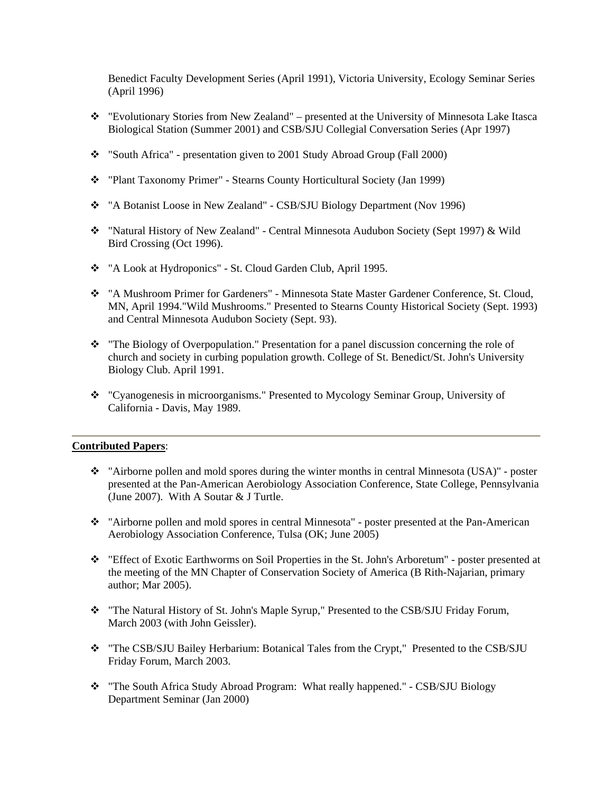Benedict Faculty Development Series (April 1991), Victoria University, Ecology Seminar Series (April 1996)

- "Evolutionary Stories from New Zealand" presented at the University of Minnesota Lake Itasca Biological Station (Summer 2001) and CSB/SJU Collegial Conversation Series (Apr 1997)
- "South Africa" presentation given to 2001 Study Abroad Group (Fall 2000)
- "Plant Taxonomy Primer" Stearns County Horticultural Society (Jan 1999)
- \* "A Botanist Loose in New Zealand" CSB/SJU Biology Department (Nov 1996)
- "Natural History of New Zealand" Central Minnesota Audubon Society (Sept 1997) & Wild Bird Crossing (Oct 1996).
- \* "A Look at Hydroponics" St. Cloud Garden Club, April 1995.
- "A Mushroom Primer for Gardeners" Minnesota State Master Gardener Conference, St. Cloud, MN, April 1994."Wild Mushrooms." Presented to Stearns County Historical Society (Sept. 1993) and Central Minnesota Audubon Society (Sept. 93).
- \* "The Biology of Overpopulation." Presentation for a panel discussion concerning the role of church and society in curbing population growth. College of St. Benedict/St. John's University Biology Club. April 1991.
- "Cyanogenesis in microorganisms." Presented to Mycology Seminar Group, University of California - Davis, May 1989.

# **Contributed Papers**:

- "Airborne pollen and mold spores during the winter months in central Minnesota (USA)" poster presented at the Pan-American Aerobiology Association Conference, State College, Pennsylvania (June 2007). With A Soutar & J Turtle.
- "Airborne pollen and mold spores in central Minnesota" poster presented at the Pan-American Aerobiology Association Conference, Tulsa (OK; June 2005)
- "Effect of Exotic Earthworms on Soil Properties in the St. John's Arboretum" poster presented at the meeting of the MN Chapter of Conservation Society of America (B Rith-Najarian, primary author; Mar 2005).
- \* "The Natural History of St. John's Maple Syrup," Presented to the CSB/SJU Friday Forum, March 2003 (with John Geissler).
- \* "The CSB/SJU Bailey Herbarium: Botanical Tales from the Crypt," Presented to the CSB/SJU Friday Forum, March 2003.
- \* "The South Africa Study Abroad Program: What really happened." CSB/SJU Biology Department Seminar (Jan 2000)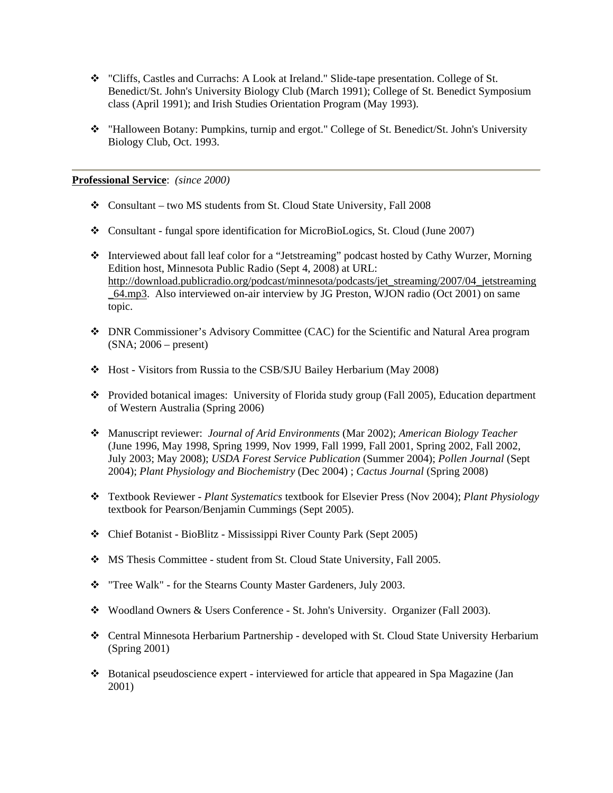- "Cliffs, Castles and Currachs: A Look at Ireland." Slide-tape presentation. College of St. Benedict/St. John's University Biology Club (March 1991); College of St. Benedict Symposium class (April 1991); and Irish Studies Orientation Program (May 1993).
- "Halloween Botany: Pumpkins, turnip and ergot." College of St. Benedict/St. John's University Biology Club, Oct. 1993.

**Professional Service**: *(since 2000)* 

- Consultant two MS students from St. Cloud State University, Fall 2008
- Consultant fungal spore identification for MicroBioLogics, St. Cloud (June 2007)
- Interviewed about fall leaf color for a "Jetstreaming" podcast hosted by Cathy Wurzer, Morning Edition host, Minnesota Public Radio (Sept 4, 2008) at URL: http://download.publicradio.org/podcast/minnesota/podcasts/jet\_streaming/2007/04\_jetstreaming \_64.mp3. Also interviewed on-air interview by JG Preston, WJON radio (Oct 2001) on same topic.
- DNR Commissioner's Advisory Committee (CAC) for the Scientific and Natural Area program (SNA; 2006 – present)
- Host Visitors from Russia to the CSB/SJU Bailey Herbarium (May 2008)
- Provided botanical images: University of Florida study group (Fall 2005), Education department of Western Australia (Spring 2006)
- Manuscript reviewer: *Journal of Arid Environments* (Mar 2002); *American Biology Teacher* (June 1996, May 1998, Spring 1999, Nov 1999, Fall 1999, Fall 2001, Spring 2002, Fall 2002, July 2003; May 2008); *USDA Forest Service Publication* (Summer 2004); *Pollen Journal* (Sept 2004); *Plant Physiology and Biochemistry* (Dec 2004) ; *Cactus Journal* (Spring 2008)
- Textbook Reviewer *Plant Systematics* textbook for Elsevier Press (Nov 2004); *Plant Physiology* textbook for Pearson/Benjamin Cummings (Sept 2005).
- Chief Botanist BioBlitz Mississippi River County Park (Sept 2005)
- MS Thesis Committee student from St. Cloud State University, Fall 2005.
- \* "Tree Walk" for the Stearns County Master Gardeners, July 2003.
- Woodland Owners & Users Conference St. John's University. Organizer (Fall 2003).
- Central Minnesota Herbarium Partnership developed with St. Cloud State University Herbarium (Spring 2001)
- Botanical pseudoscience expert interviewed for article that appeared in Spa Magazine (Jan 2001)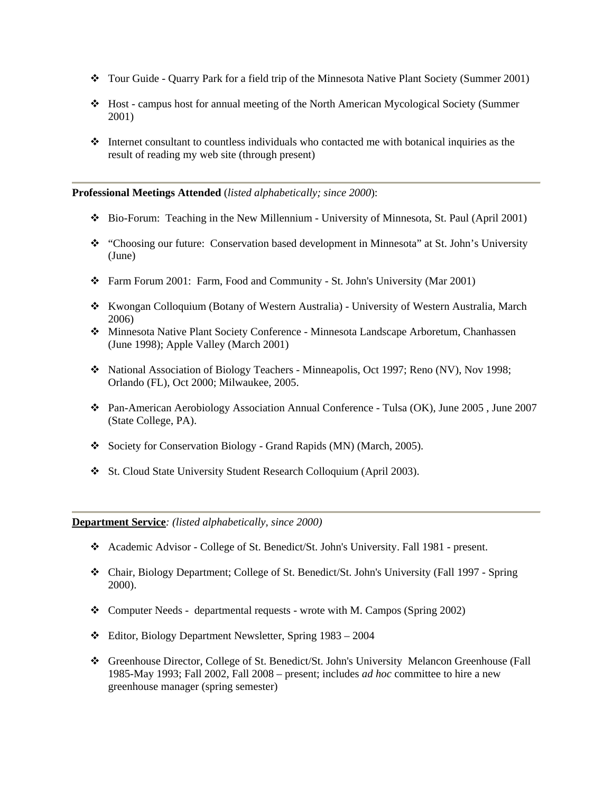- Tour Guide Quarry Park for a field trip of the Minnesota Native Plant Society (Summer 2001)
- Host campus host for annual meeting of the North American Mycological Society (Summer 2001)
- $\cdot$  Internet consultant to countless individuals who contacted me with botanical inquiries as the result of reading my web site (through present)

# **Professional Meetings Attended** (*listed alphabetically; since 2000*):

- Bio-Forum: Teaching in the New Millennium University of Minnesota, St. Paul (April 2001)
- \* "Choosing our future: Conservation based development in Minnesota" at St. John's University (June)
- Farm Forum 2001: Farm, Food and Community St. John's University (Mar 2001)
- Kwongan Colloquium (Botany of Western Australia) University of Western Australia, March 2006)
- Minnesota Native Plant Society Conference Minnesota Landscape Arboretum, Chanhassen (June 1998); Apple Valley (March 2001)
- \* National Association of Biology Teachers Minneapolis, Oct 1997; Reno (NV), Nov 1998; Orlando (FL), Oct 2000; Milwaukee, 2005.
- Pan-American Aerobiology Association Annual Conference Tulsa (OK), June 2005 , June 2007 (State College, PA).
- Society for Conservation Biology Grand Rapids (MN) (March, 2005).
- St. Cloud State University Student Research Colloquium (April 2003).

**Department Service***: (listed alphabetically, since 2000)* 

- Academic Advisor College of St. Benedict/St. John's University. Fall 1981 present.
- Chair, Biology Department; College of St. Benedict/St. John's University (Fall 1997 Spring 2000).
- \* Computer Needs departmental requests wrote with M. Campos (Spring 2002)
- Editor, Biology Department Newsletter, Spring 1983 2004
- Greenhouse Director, College of St. Benedict/St. John's University Melancon Greenhouse (Fall 1985-May 1993; Fall 2002, Fall 2008 – present; includes *ad hoc* committee to hire a new greenhouse manager (spring semester)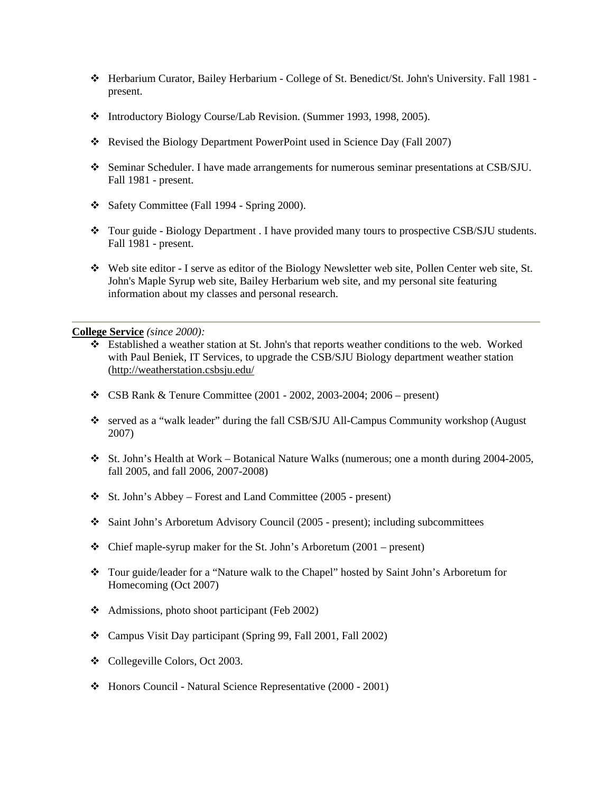- Herbarium Curator, Bailey Herbarium College of St. Benedict/St. John's University. Fall 1981 present.
- Introductory Biology Course/Lab Revision. (Summer 1993, 1998, 2005).
- Revised the Biology Department PowerPoint used in Science Day (Fall 2007)
- Seminar Scheduler. I have made arrangements for numerous seminar presentations at CSB/SJU. Fall 1981 - present.
- Safety Committee (Fall 1994 Spring 2000).
- \* Tour guide Biology Department . I have provided many tours to prospective CSB/SJU students. Fall 1981 - present.
- Web site editor I serve as editor of the Biology Newsletter web site, Pollen Center web site, St. John's Maple Syrup web site, Bailey Herbarium web site, and my personal site featuring information about my classes and personal research.

#### **College Service** *(since 2000):*

- Established a weather station at St. John's that reports weather conditions to the web. Worked with Paul Beniek, IT Services, to upgrade the CSB/SJU Biology department weather station (http://weatherstation.csbsju.edu/
- CSB Rank & Tenure Committee (2001 2002, 2003-2004; 2006 present)
- served as a "walk leader" during the fall CSB/SJU All-Campus Community workshop (August 2007)
- $\cdot$  St. John's Health at Work Botanical Nature Walks (numerous; one a month during 2004-2005, fall 2005, and fall 2006, 2007-2008)
- $\div$  St. John's Abbey Forest and Land Committee (2005 present)
- Saint John's Arboretum Advisory Council (2005 present); including subcommittees
- $\triangleleft$  Chief maple-syrup maker for the St. John's Arboretum (2001 present)
- Tour guide/leader for a "Nature walk to the Chapel" hosted by Saint John's Arboretum for Homecoming (Oct 2007)
- Admissions, photo shoot participant (Feb 2002)
- Campus Visit Day participant (Spring 99, Fall 2001, Fall 2002)
- Collegeville Colors, Oct 2003.
- Honors Council Natural Science Representative (2000 2001)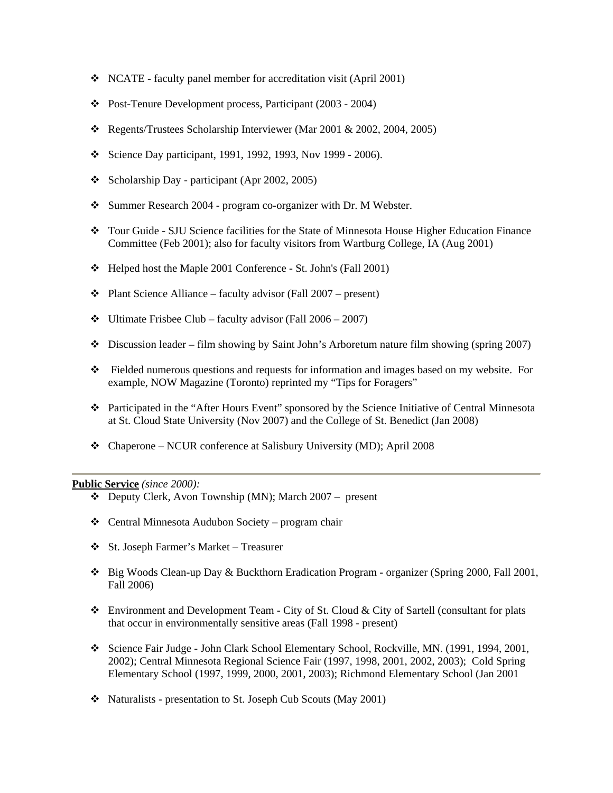- NCATE faculty panel member for accreditation visit (April 2001)
- \* Post-Tenure Development process, Participant (2003 2004)
- Regents/Trustees Scholarship Interviewer (Mar 2001 & 2002, 2004, 2005)
- Science Day participant, 1991, 1992, 1993, Nov 1999 2006).
- $\div$  Scholarship Day participant (Apr 2002, 2005)
- Summer Research 2004 program co-organizer with Dr. M Webster.
- Tour Guide SJU Science facilities for the State of Minnesota House Higher Education Finance Committee (Feb 2001); also for faculty visitors from Wartburg College, IA (Aug 2001)
- Helped host the Maple 2001 Conference St. John's (Fall 2001)
- $\div$  Plant Science Alliance faculty advisor (Fall 2007 present)
- $\div$  Ultimate Frisbee Club faculty advisor (Fall 2006 2007)
- Discussion leader film showing by Saint John's Arboretum nature film showing (spring 2007)
- Fielded numerous questions and requests for information and images based on my website. For example, NOW Magazine (Toronto) reprinted my "Tips for Foragers"
- Participated in the "After Hours Event" sponsored by the Science Initiative of Central Minnesota at St. Cloud State University (Nov 2007) and the College of St. Benedict (Jan 2008)
- Chaperone NCUR conference at Salisbury University (MD); April 2008

#### **Public Service** *(since 2000):*

- Deputy Clerk, Avon Township (MN); March 2007 present
- $\triangleleft$  Central Minnesota Audubon Society program chair
- St. Joseph Farmer's Market Treasurer
- Big Woods Clean-up Day & Buckthorn Eradication Program organizer (Spring 2000, Fall 2001, Fall 2006)
- Environment and Development Team City of St. Cloud & City of Sartell (consultant for plats that occur in environmentally sensitive areas (Fall 1998 - present)
- Science Fair Judge John Clark School Elementary School, Rockville, MN. (1991, 1994, 2001, 2002); Central Minnesota Regional Science Fair (1997, 1998, 2001, 2002, 2003); Cold Spring Elementary School (1997, 1999, 2000, 2001, 2003); Richmond Elementary School (Jan 2001
- Naturalists presentation to St. Joseph Cub Scouts (May 2001)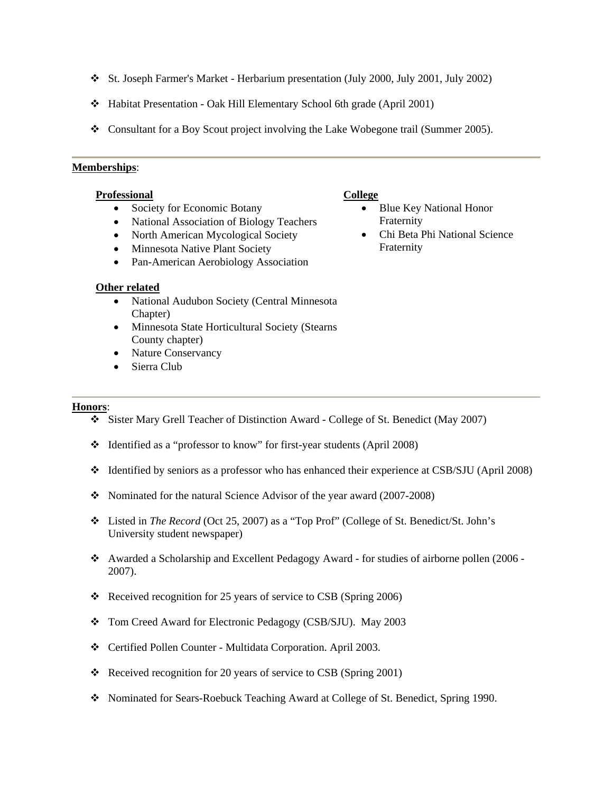- St. Joseph Farmer's Market Herbarium presentation (July 2000, July 2001, July 2002)
- Habitat Presentation Oak Hill Elementary School 6th grade (April 2001)
- Consultant for a Boy Scout project involving the Lake Wobegone trail (Summer 2005).

#### **Memberships**:

#### **Professional**

- Society for Economic Botany
- National Association of Biology Teachers
- North American Mycological Society
- Minnesota Native Plant Society
- Pan-American Aerobiology Association

#### **Other related**

- National Audubon Society (Central Minnesota Chapter)
- Minnesota State Horticultural Society (Stearns County chapter)
- Nature Conservancy
- Sierra Club

## **Honors**:

- Sister Mary Grell Teacher of Distinction Award College of St. Benedict (May 2007)
- Identified as a "professor to know" for first-year students (April 2008)
- $\div$  Identified by seniors as a professor who has enhanced their experience at CSB/SJU (April 2008)
- Nominated for the natural Science Advisor of the year award (2007-2008)
- Listed in *The Record* (Oct 25, 2007) as a "Top Prof" (College of St. Benedict/St. John's University student newspaper)
- Awarded a Scholarship and Excellent Pedagogy Award for studies of airborne pollen (2006 2007).
- Received recognition for 25 years of service to CSB (Spring 2006)
- Tom Creed Award for Electronic Pedagogy (CSB/SJU). May 2003
- Certified Pollen Counter Multidata Corporation. April 2003.
- Received recognition for 20 years of service to CSB (Spring 2001)
- Nominated for Sears-Roebuck Teaching Award at College of St. Benedict, Spring 1990.

#### **College**

- Blue Key National Honor Fraternity
- Chi Beta Phi National Science Fraternity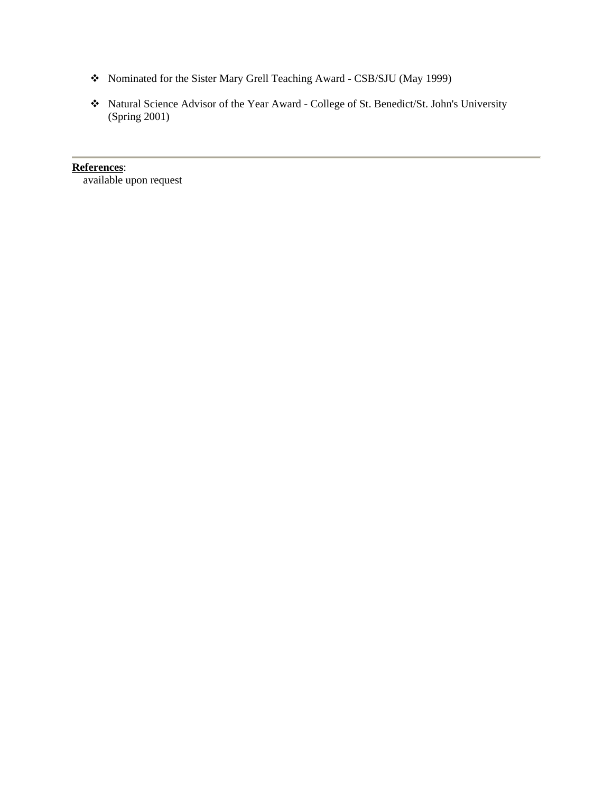- Nominated for the Sister Mary Grell Teaching Award CSB/SJU (May 1999)
- Natural Science Advisor of the Year Award College of St. Benedict/St. John's University (Spring 2001)

**References**: available upon request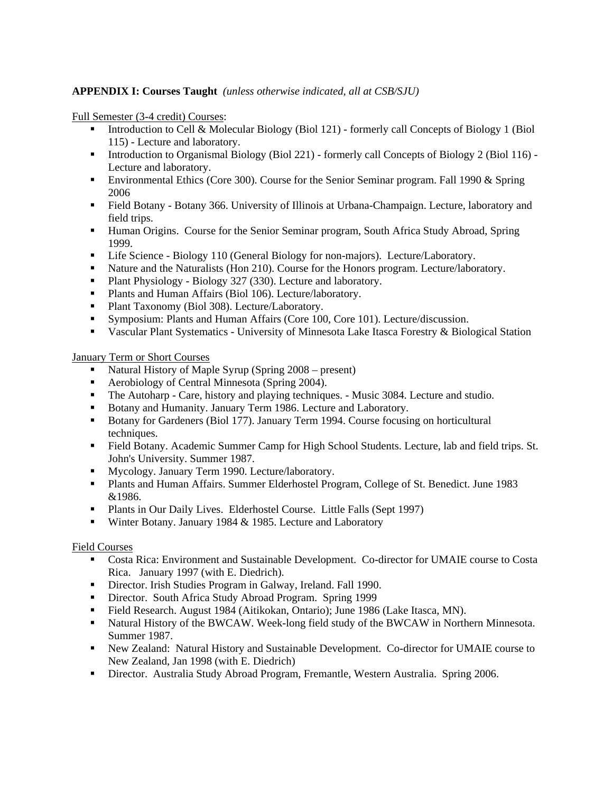# **APPENDIX I: Courses Taught** *(unless otherwise indicated, all at CSB/SJU)*

Full Semester (3-4 credit) Courses:

- Introduction to Cell & Molecular Biology (Biol 121) formerly call Concepts of Biology 1 (Biol 115) - Lecture and laboratory.
- Introduction to Organismal Biology (Biol 221) formerly call Concepts of Biology 2 (Biol 116) -Lecture and laboratory.
- Environmental Ethics (Core 300). Course for the Senior Seminar program. Fall 1990 & Spring 2006
- Field Botany Botany 366. University of Illinois at Urbana-Champaign. Lecture, laboratory and field trips.
- **Human Origins.** Course for the Senior Seminar program, South Africa Study Abroad, Spring 1999.
- **EXECUTE:** Life Science Biology 110 (General Biology for non-majors). Lecture/Laboratory.
- **Nature and the Naturalists (Hon 210). Course for the Honors program. Lecture/laboratory.**
- Plant Physiology Biology 327 (330). Lecture and laboratory.
- **Plants and Human Affairs (Biol 106). Lecture/laboratory.**
- **Plant Taxonomy (Biol 308). Lecture/Laboratory.**
- Symposium: Plants and Human Affairs (Core 100, Core 101). Lecture/discussion.
- Vascular Plant Systematics University of Minnesota Lake Itasca Forestry & Biological Station

January Term or Short Courses

- Natural History of Maple Syrup (Spring 2008 present)
- Aerobiology of Central Minnesota (Spring 2004).
- The Autoharp Care, history and playing techniques. Music 3084. Lecture and studio.
- Botany and Humanity. January Term 1986. Lecture and Laboratory.
- Botany for Gardeners (Biol 177). January Term 1994. Course focusing on horticultural techniques.
- Field Botany. Academic Summer Camp for High School Students. Lecture, lab and field trips. St. John's University. Summer 1987.
- Mycology. January Term 1990. Lecture/laboratory.
- Plants and Human Affairs. Summer Elderhostel Program, College of St. Benedict. June 1983 &1986.
- Plants in Our Daily Lives. Elderhostel Course. Little Falls (Sept 1997)
- Winter Botany. January 1984 & 1985. Lecture and Laboratory

# Field Courses

- Costa Rica: Environment and Sustainable Development. Co-director for UMAIE course to Costa Rica. January 1997 (with E. Diedrich).
- Director. Irish Studies Program in Galway, Ireland. Fall 1990.
- Director. South Africa Study Abroad Program. Spring 1999
- Field Research. August 1984 (Aitikokan, Ontario); June 1986 (Lake Itasca, MN).
- **Natural History of the BWCAW. Week-long field study of the BWCAW in Northern Minnesota.** Summer 1987.
- New Zealand: Natural History and Sustainable Development. Co-director for UMAIE course to New Zealand, Jan 1998 (with E. Diedrich)
- Director. Australia Study Abroad Program, Fremantle, Western Australia. Spring 2006.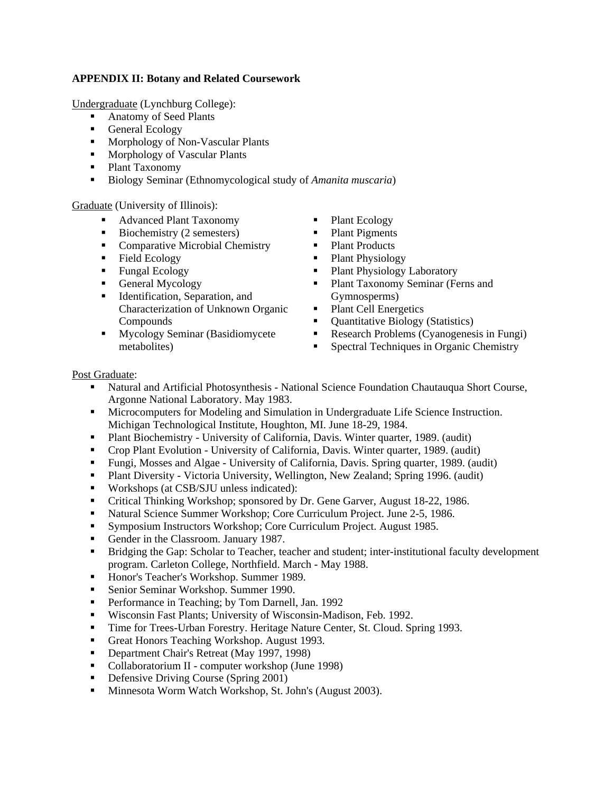# **APPENDIX II: Botany and Related Coursework**

Undergraduate (Lynchburg College):

- Anatomy of Seed Plants
- General Ecology
- **Morphology of Non-Vascular Plants**
- **Morphology of Vascular Plants**
- Plant Taxonomy
- Biology Seminar (Ethnomycological study of *Amanita muscaria*)

Graduate (University of Illinois):

- Advanced Plant Taxonomy
- Biochemistry (2 semesters)
- Comparative Microbial Chemistry
- Field Ecology
- **Fungal Ecology**
- General Mycology
- Identification, Separation, and Characterization of Unknown Organic Compounds
- **Mycology Seminar (Basidiomycete** metabolites)
- Plant Ecology
- Plant Pigments
- Plant Products
- Plant Physiology
- Plant Physiology Laboratory
- Plant Taxonomy Seminar (Ferns and Gymnosperms)
- Plant Cell Energetics
- Quantitative Biology (Statistics)
- Research Problems (Cyanogenesis in Fungi)
- Spectral Techniques in Organic Chemistry

# Post Graduate:

- Natural and Artificial Photosynthesis National Science Foundation Chautauqua Short Course, Argonne National Laboratory. May 1983.
- Microcomputers for Modeling and Simulation in Undergraduate Life Science Instruction. Michigan Technological Institute, Houghton, MI. June 18-29, 1984.
- Plant Biochemistry University of California, Davis. Winter quarter, 1989. (audit)
- Crop Plant Evolution University of California, Davis. Winter quarter, 1989. (audit)
- Fungi, Mosses and Algae University of California, Davis. Spring quarter, 1989. (audit)
- Plant Diversity Victoria University, Wellington, New Zealand; Spring 1996. (audit)
- **Workshops (at CSB/SJU unless indicated):**
- Critical Thinking Workshop; sponsored by Dr. Gene Garver, August 18-22, 1986.
- Natural Science Summer Workshop; Core Curriculum Project. June 2-5, 1986.
- Symposium Instructors Workshop; Core Curriculum Project. August 1985.
- Gender in the Classroom. January 1987.
- Bridging the Gap: Scholar to Teacher, teacher and student; inter-institutional faculty development program. Carleton College, Northfield. March - May 1988.
- Honor's Teacher's Workshop. Summer 1989.
- **Senior Seminar Workshop. Summer 1990.**
- **Performance in Teaching; by Tom Darnell, Jan. 1992**
- Wisconsin Fast Plants; University of Wisconsin-Madison, Feb. 1992.
- Time for Trees-Urban Forestry. Heritage Nature Center, St. Cloud. Spring 1993.
- Great Honors Teaching Workshop. August 1993.
- Department Chair's Retreat (May 1997, 1998)
- Collaboratorium II computer workshop (June 1998)
- Defensive Driving Course (Spring 2001)
- **Minnesota Worm Watch Workshop, St. John's (August 2003).**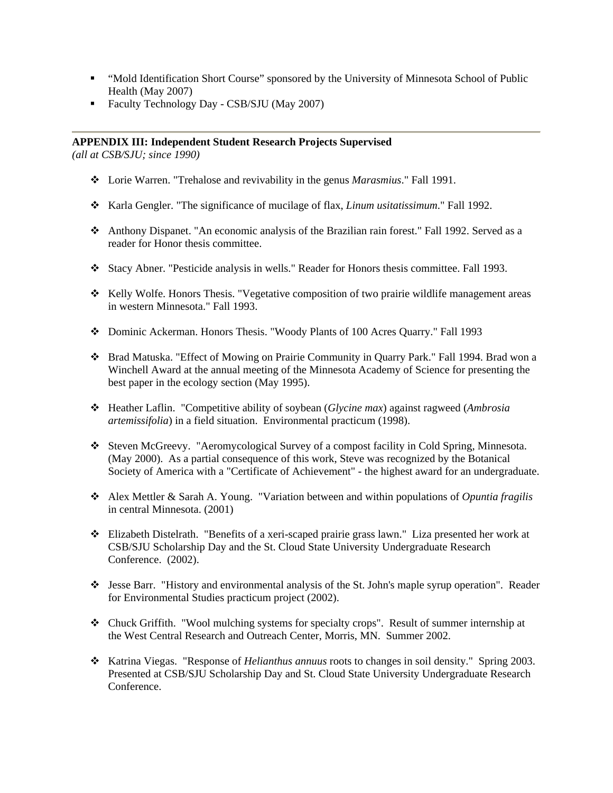- " "Mold Identification Short Course" sponsored by the University of Minnesota School of Public Health (May 2007)
- Faculty Technology Day CSB/SJU (May 2007)

# **APPENDIX III: Independent Student Research Projects Supervised**

*(all at CSB/SJU; since 1990)* 

- Lorie Warren. "Trehalose and revivability in the genus *Marasmius*." Fall 1991.
- \* Karla Gengler. "The significance of mucilage of flax, *Linum usitatissimum*." Fall 1992.
- Anthony Dispanet. "An economic analysis of the Brazilian rain forest." Fall 1992. Served as a reader for Honor thesis committee.
- Stacy Abner. "Pesticide analysis in wells." Reader for Honors thesis committee. Fall 1993.
- \* Kelly Wolfe. Honors Thesis. "Vegetative composition of two prairie wildlife management areas in western Minnesota." Fall 1993.
- Dominic Ackerman. Honors Thesis. "Woody Plants of 100 Acres Quarry." Fall 1993
- Brad Matuska. "Effect of Mowing on Prairie Community in Quarry Park." Fall 1994. Brad won a Winchell Award at the annual meeting of the Minnesota Academy of Science for presenting the best paper in the ecology section (May 1995).
- Heather Laflin. "Competitive ability of soybean (*Glycine max*) against ragweed (*Ambrosia artemissifolia*) in a field situation. Environmental practicum (1998).
- Steven McGreevy. "Aeromycological Survey of a compost facility in Cold Spring, Minnesota. (May 2000). As a partial consequence of this work, Steve was recognized by the Botanical Society of America with a "Certificate of Achievement" - the highest award for an undergraduate.
- Alex Mettler & Sarah A. Young. "Variation between and within populations of *Opuntia fragilis* in central Minnesota. (2001)
- Elizabeth Distelrath. "Benefits of a xeri-scaped prairie grass lawn." Liza presented her work at CSB/SJU Scholarship Day and the St. Cloud State University Undergraduate Research Conference. (2002).
- Jesse Barr. "History and environmental analysis of the St. John's maple syrup operation". Reader for Environmental Studies practicum project (2002).
- Chuck Griffith. "Wool mulching systems for specialty crops". Result of summer internship at the West Central Research and Outreach Center, Morris, MN. Summer 2002.
- Katrina Viegas. "Response of *Helianthus annuus* roots to changes in soil density." Spring 2003. Presented at CSB/SJU Scholarship Day and St. Cloud State University Undergraduate Research Conference.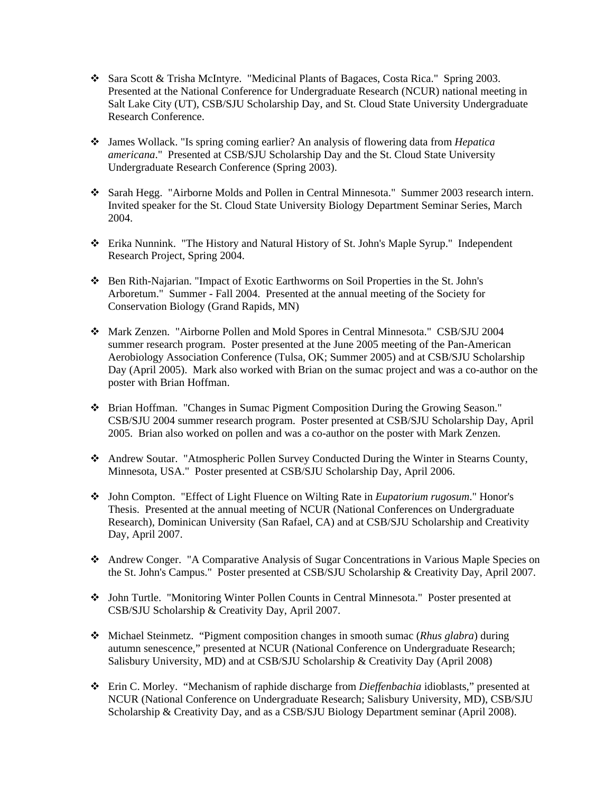- Sara Scott & Trisha McIntyre. "Medicinal Plants of Bagaces, Costa Rica." Spring 2003. Presented at the National Conference for Undergraduate Research (NCUR) national meeting in Salt Lake City (UT), CSB/SJU Scholarship Day, and St. Cloud State University Undergraduate Research Conference.
- James Wollack. "Is spring coming earlier? An analysis of flowering data from *Hepatica americana*." Presented at CSB/SJU Scholarship Day and the St. Cloud State University Undergraduate Research Conference (Spring 2003).
- Sarah Hegg. "Airborne Molds and Pollen in Central Minnesota." Summer 2003 research intern. Invited speaker for the St. Cloud State University Biology Department Seminar Series, March 2004.
- Erika Nunnink. "The History and Natural History of St. John's Maple Syrup." Independent Research Project, Spring 2004.
- Ben Rith-Najarian. "Impact of Exotic Earthworms on Soil Properties in the St. John's Arboretum." Summer - Fall 2004. Presented at the annual meeting of the Society for Conservation Biology (Grand Rapids, MN)
- Mark Zenzen. "Airborne Pollen and Mold Spores in Central Minnesota." CSB/SJU 2004 summer research program. Poster presented at the June 2005 meeting of the Pan-American Aerobiology Association Conference (Tulsa, OK; Summer 2005) and at CSB/SJU Scholarship Day (April 2005). Mark also worked with Brian on the sumac project and was a co-author on the poster with Brian Hoffman.
- Brian Hoffman. "Changes in Sumac Pigment Composition During the Growing Season." CSB/SJU 2004 summer research program. Poster presented at CSB/SJU Scholarship Day, April 2005. Brian also worked on pollen and was a co-author on the poster with Mark Zenzen.
- Andrew Soutar. "Atmospheric Pollen Survey Conducted During the Winter in Stearns County, Minnesota, USA." Poster presented at CSB/SJU Scholarship Day, April 2006.
- John Compton. "Effect of Light Fluence on Wilting Rate in *Eupatorium rugosum*." Honor's Thesis. Presented at the annual meeting of NCUR (National Conferences on Undergraduate Research), Dominican University (San Rafael, CA) and at CSB/SJU Scholarship and Creativity Day, April 2007.
- Andrew Conger. "A Comparative Analysis of Sugar Concentrations in Various Maple Species on the St. John's Campus." Poster presented at CSB/SJU Scholarship & Creativity Day, April 2007.
- John Turtle. "Monitoring Winter Pollen Counts in Central Minnesota." Poster presented at CSB/SJU Scholarship & Creativity Day, April 2007.
- Michael Steinmetz. "Pigment composition changes in smooth sumac (*Rhus glabra*) during autumn senescence," presented at NCUR (National Conference on Undergraduate Research; Salisbury University, MD) and at CSB/SJU Scholarship & Creativity Day (April 2008)
- Erin C. Morley. "Mechanism of raphide discharge from *Dieffenbachia* idioblasts," presented at NCUR (National Conference on Undergraduate Research; Salisbury University, MD), CSB/SJU Scholarship & Creativity Day, and as a CSB/SJU Biology Department seminar (April 2008).